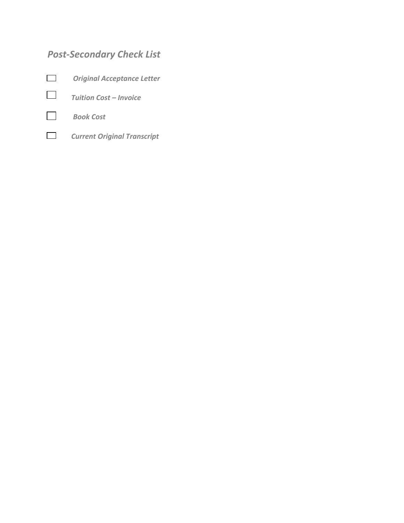# *Post-Secondary Check List*







 *Current Original Transcript*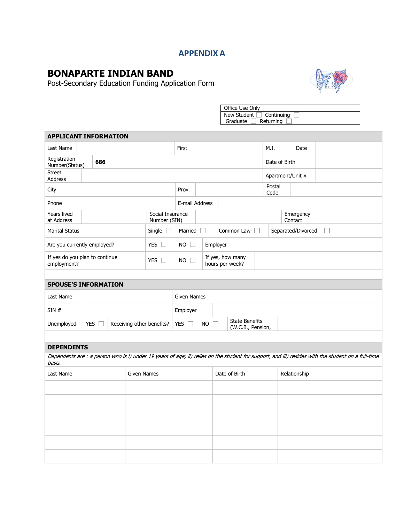### **APPENDIX A**

## **BONAPARTE INDIAN BAND**

Post-Secondary Education Funding Application Form



Office Use Only New Student  $\Box$  Continuing Graduate  $\Box$  Returning

| <b>APPLICANT INFORMATION</b>                  |  |       |               |  |                                  |                |                                     |               |                                            |           |                  |                    |                                                                                                                                                    |  |
|-----------------------------------------------|--|-------|---------------|--|----------------------------------|----------------|-------------------------------------|---------------|--------------------------------------------|-----------|------------------|--------------------|----------------------------------------------------------------------------------------------------------------------------------------------------|--|
| Last Name                                     |  |       |               |  |                                  | First          |                                     |               |                                            |           | M.I.             | Date               |                                                                                                                                                    |  |
| Registration<br>686<br>Number(Status)         |  |       |               |  |                                  |                |                                     | Date of Birth |                                            |           |                  |                    |                                                                                                                                                    |  |
| <b>Street</b><br>Address                      |  |       |               |  |                                  |                |                                     |               |                                            |           | Apartment/Unit # |                    |                                                                                                                                                    |  |
| City                                          |  |       |               |  |                                  | Prov.          |                                     |               |                                            |           | Postal<br>Code   |                    |                                                                                                                                                    |  |
| Phone                                         |  |       |               |  |                                  |                | E-mail Address                      |               |                                            |           |                  |                    |                                                                                                                                                    |  |
| <b>Years lived</b><br>at Address              |  |       |               |  | Social Insurance<br>Number (SIN) |                | Contact                             |               |                                            | Emergency |                  |                    |                                                                                                                                                    |  |
| <b>Marital Status</b>                         |  |       |               |  | Single $\square$                 | Married $\Box$ |                                     |               | Common Law                                 |           |                  | Separated/Divorced | $\Box$                                                                                                                                             |  |
| Are you currently employed?                   |  |       |               |  | YES $\square$                    | $NO$ $\Box$    |                                     | Employer      |                                            |           |                  |                    |                                                                                                                                                    |  |
| If yes do you plan to continue<br>employment? |  |       |               |  | YES $\Box$                       | $NO$ $\Box$    | If yes, how many<br>hours per week? |               |                                            |           |                  |                    |                                                                                                                                                    |  |
|                                               |  |       |               |  |                                  |                |                                     |               |                                            |           |                  |                    |                                                                                                                                                    |  |
| <b>SPOUSE'S INFORMATION</b>                   |  |       |               |  |                                  |                |                                     |               |                                            |           |                  |                    |                                                                                                                                                    |  |
| Last Name                                     |  |       |               |  |                                  |                | <b>Given Names</b>                  |               |                                            |           |                  |                    |                                                                                                                                                    |  |
| SIN#                                          |  |       |               |  |                                  |                | Employer                            |               |                                            |           |                  |                    |                                                                                                                                                    |  |
| Unemployed                                    |  | YES [ |               |  | Receiving other benefits?        | YES $\square$  | $NO$ $\Box$                         |               | <b>State Benefits</b><br>(W.C.B., Pension, |           |                  |                    |                                                                                                                                                    |  |
|                                               |  |       |               |  |                                  |                |                                     |               |                                            |           |                  |                    |                                                                                                                                                    |  |
| <b>DEPENDENTS</b>                             |  |       |               |  |                                  |                |                                     |               |                                            |           |                  |                    |                                                                                                                                                    |  |
| basis.                                        |  |       |               |  |                                  |                |                                     |               |                                            |           |                  |                    | Dependents are : a person who is i) under 19 years of age; ii) relies on the student for support, and iii) resides with the student on a full-time |  |
| <b>Given Names</b><br>Last Name               |  |       | Date of Birth |  |                                  |                | Relationship                        |               |                                            |           |                  |                    |                                                                                                                                                    |  |
|                                               |  |       |               |  |                                  |                |                                     |               |                                            |           |                  |                    |                                                                                                                                                    |  |
|                                               |  |       |               |  |                                  |                |                                     |               |                                            |           |                  |                    |                                                                                                                                                    |  |
|                                               |  |       |               |  |                                  |                |                                     |               |                                            |           |                  |                    |                                                                                                                                                    |  |
|                                               |  |       |               |  |                                  |                |                                     |               |                                            |           |                  |                    |                                                                                                                                                    |  |
|                                               |  |       |               |  |                                  |                |                                     |               |                                            |           |                  |                    |                                                                                                                                                    |  |
|                                               |  |       |               |  |                                  |                |                                     |               |                                            |           |                  |                    |                                                                                                                                                    |  |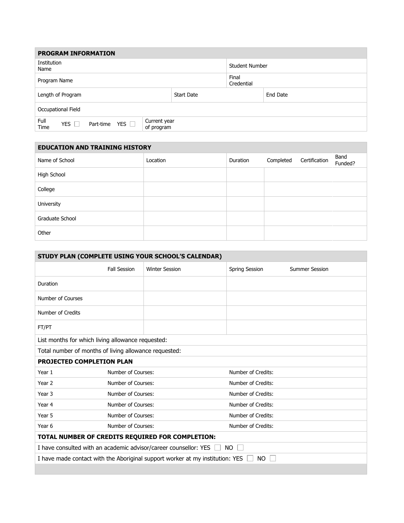| <b>PROGRAM INFORMATION</b>                                                                          |                       |                     |          |  |  |  |
|-----------------------------------------------------------------------------------------------------|-----------------------|---------------------|----------|--|--|--|
| Institution<br>Name                                                                                 | <b>Student Number</b> |                     |          |  |  |  |
| Program Name                                                                                        |                       | Final<br>Credential |          |  |  |  |
| Length of Program                                                                                   | <b>Start Date</b>     |                     | End Date |  |  |  |
| Occupational Field                                                                                  |                       |                     |          |  |  |  |
| Full<br>Current year<br>YES $\Box$<br><b>YES</b><br>Part-time<br>$\mathbf{1}$<br>Time<br>of program |                       |                     |          |  |  |  |

| <b>EDUCATION AND TRAINING HISTORY</b> |          |          |           |               |                 |  |
|---------------------------------------|----------|----------|-----------|---------------|-----------------|--|
| Name of School                        | Location | Duration | Completed | Certification | Band<br>Funded? |  |
| High School                           |          |          |           |               |                 |  |
| College                               |          |          |           |               |                 |  |
| University                            |          |          |           |               |                 |  |
| Graduate School                       |          |          |           |               |                 |  |
| Other                                 |          |          |           |               |                 |  |

| STUDY PLAN (COMPLETE USING YOUR SCHOOL'S CALENDAR)                                   |                     |                       |                       |                       |  |
|--------------------------------------------------------------------------------------|---------------------|-----------------------|-----------------------|-----------------------|--|
|                                                                                      | <b>Fall Session</b> | <b>Winter Session</b> | <b>Spring Session</b> | <b>Summer Session</b> |  |
| Duration                                                                             |                     |                       |                       |                       |  |
| Number of Courses                                                                    |                     |                       |                       |                       |  |
| Number of Credits                                                                    |                     |                       |                       |                       |  |
| FT/PT                                                                                |                     |                       |                       |                       |  |
| List months for which living allowance requested:                                    |                     |                       |                       |                       |  |
| Total number of months of living allowance requested:                                |                     |                       |                       |                       |  |
| <b>PROJECTED COMPLETION PLAN</b>                                                     |                     |                       |                       |                       |  |
| Year 1                                                                               | Number of Courses:  |                       | Number of Credits:    |                       |  |
| Year 2                                                                               | Number of Courses:  |                       | Number of Credits:    |                       |  |
| Year 3                                                                               | Number of Courses:  |                       | Number of Credits:    |                       |  |
| Year 4                                                                               | Number of Courses:  |                       | Number of Credits:    |                       |  |
| Year 5                                                                               | Number of Courses:  |                       | Number of Credits:    |                       |  |
| Year 6                                                                               | Number of Courses:  |                       | Number of Credits:    |                       |  |
| TOTAL NUMBER OF CREDITS REQUIRED FOR COMPLETION:                                     |                     |                       |                       |                       |  |
| I have consulted with an academic advisor/career counsellor: YES<br>NO.              |                     |                       |                       |                       |  |
| I have made contact with the Aboriginal support worker at my institution: YES<br>NO. |                     |                       |                       |                       |  |
|                                                                                      |                     |                       |                       |                       |  |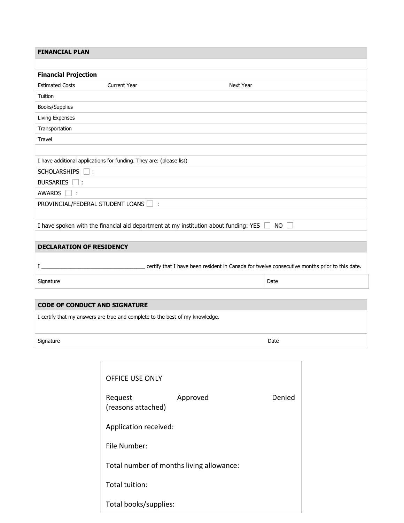| <b>FINANCIAL PLAN</b>                |                                                                     |                                                                                            |  |  |  |
|--------------------------------------|---------------------------------------------------------------------|--------------------------------------------------------------------------------------------|--|--|--|
|                                      |                                                                     |                                                                                            |  |  |  |
| <b>Financial Projection</b>          |                                                                     |                                                                                            |  |  |  |
| <b>Estimated Costs</b>               | <b>Current Year</b>                                                 | <b>Next Year</b>                                                                           |  |  |  |
| Tuition                              |                                                                     |                                                                                            |  |  |  |
| Books/Supplies                       |                                                                     |                                                                                            |  |  |  |
| Living Expenses                      |                                                                     |                                                                                            |  |  |  |
| Transportation                       |                                                                     |                                                                                            |  |  |  |
| Travel                               |                                                                     |                                                                                            |  |  |  |
|                                      |                                                                     |                                                                                            |  |  |  |
|                                      | I have additional applications for funding. They are: (please list) |                                                                                            |  |  |  |
| SCHOLARSHIPS □ :                     |                                                                     |                                                                                            |  |  |  |
| <b>BURSARIES</b><br>$\Box$ :         |                                                                     |                                                                                            |  |  |  |
| <b>AWARDS</b><br>-13                 |                                                                     |                                                                                            |  |  |  |
| PROVINCIAL/FEDERAL STUDENT LOANS   : |                                                                     |                                                                                            |  |  |  |
|                                      |                                                                     |                                                                                            |  |  |  |
|                                      |                                                                     | I have spoken with the financial aid department at my institution about funding: YES<br>NO |  |  |  |
|                                      |                                                                     |                                                                                            |  |  |  |
| <b>DECLARATION OF RESIDENCY</b>      |                                                                     |                                                                                            |  |  |  |
|                                      |                                                                     |                                                                                            |  |  |  |
|                                      |                                                                     |                                                                                            |  |  |  |
| Signature                            |                                                                     | Date                                                                                       |  |  |  |
|                                      |                                                                     |                                                                                            |  |  |  |

### **CODE OF CONDUCT AND SIGNATURE**

I certify that my answers are true and complete to the best of my knowledge.

Signature Date Date of the Signature Date of the Signature Date of the Date of the Date of the Date of the Date of the Date of the Date of the Date of the Date of the Date of the Date of the Date of the Date of the Date of

| OFFICE USE ONLY                          |          |        |  |  |  |  |
|------------------------------------------|----------|--------|--|--|--|--|
| Request<br>(reasons attached)            | Approved | Denied |  |  |  |  |
| Application received:                    |          |        |  |  |  |  |
| File Number:                             |          |        |  |  |  |  |
| Total number of months living allowance: |          |        |  |  |  |  |
| Total tuition:                           |          |        |  |  |  |  |
| Total books/supplies:                    |          |        |  |  |  |  |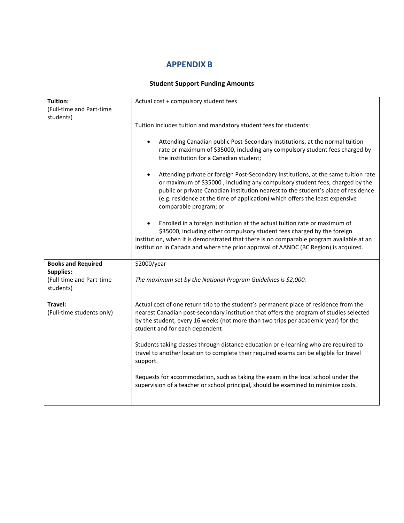### **APPENDIX B**

#### **Student Support Funding Amounts**

| Tuition:                  | Actual cost + compulsory student fees                                                                                                                              |
|---------------------------|--------------------------------------------------------------------------------------------------------------------------------------------------------------------|
| (Full-time and Part-time  |                                                                                                                                                                    |
| students)                 |                                                                                                                                                                    |
|                           | Tuition includes tuition and mandatory student fees for students:                                                                                                  |
|                           |                                                                                                                                                                    |
|                           | Attending Canadian public Post-Secondary Institutions, at the normal tuition<br>$\bullet$                                                                          |
|                           | rate or maximum of \$35000, including any compulsory student fees charged by                                                                                       |
|                           | the institution for a Canadian student;                                                                                                                            |
|                           |                                                                                                                                                                    |
|                           | Attending private or foreign Post-Secondary Institutions, at the same tuition rate<br>$\bullet$                                                                    |
|                           | or maximum of \$35000, including any compulsory student fees, charged by the<br>public or private Canadian institution nearest to the student's place of residence |
|                           | (e.g. residence at the time of application) which offers the least expensive                                                                                       |
|                           | comparable program; or                                                                                                                                             |
|                           |                                                                                                                                                                    |
|                           | Enrolled in a foreign institution at the actual tuition rate or maximum of                                                                                         |
|                           | \$35000, including other compulsory student fees charged by the foreign                                                                                            |
|                           | institution, when it is demonstrated that there is no comparable program available at an                                                                           |
|                           | institution in Canada and where the prior approval of AANDC (BC Region) is acquired.                                                                               |
|                           |                                                                                                                                                                    |
| <b>Books and Required</b> | \$2000/year                                                                                                                                                        |
| <b>Supplies:</b>          |                                                                                                                                                                    |
| (Full-time and Part-time  | The maximum set by the National Program Guidelines is \$2,000.                                                                                                     |
| students)                 |                                                                                                                                                                    |
|                           |                                                                                                                                                                    |
| Travel:                   | Actual cost of one return trip to the student's permanent place of residence from the                                                                              |
| (Full-time students only) | nearest Canadian post-secondary institution that offers the program of studies selected                                                                            |
|                           | by the student, every 16 weeks (not more than two trips per academic year) for the                                                                                 |
|                           | student and for each dependent                                                                                                                                     |
|                           |                                                                                                                                                                    |
|                           | Students taking classes through distance education or e-learning who are required to                                                                               |
|                           | travel to another location to complete their required exams can be eligible for travel                                                                             |
|                           | support.                                                                                                                                                           |
|                           | Requests for accommodation, such as taking the exam in the local school under the                                                                                  |
|                           | supervision of a teacher or school principal, should be examined to minimize costs.                                                                                |
|                           |                                                                                                                                                                    |
|                           |                                                                                                                                                                    |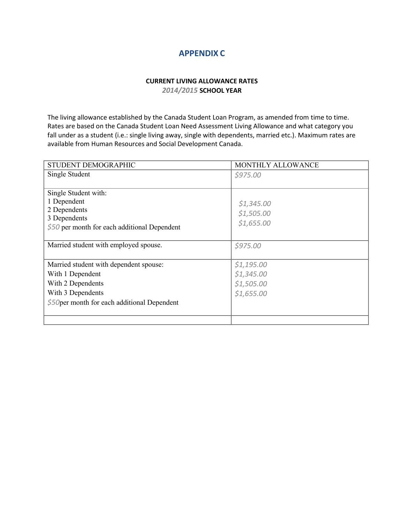### **APPENDIX C**

#### **CURRENT LIVING ALLOWANCE RATES** *2014/2015* **SCHOOL YEAR**

The living allowance established by the Canada Student Loan Program, as amended from time to time. Rates are based on the Canada Student Loan Need Assessment Living Allowance and what category you fall under as a student (i.e.: single living away, single with dependents, married etc.). Maximum rates are available from Human Resources and Social Development Canada.

| STUDENT DEMOGRAPHIC                           | MONTHLY ALLOWANCE |
|-----------------------------------------------|-------------------|
| Single Student                                | \$975.00          |
|                                               |                   |
| Single Student with:                          |                   |
| 1 Dependent                                   | \$1,345.00        |
| 2 Dependents                                  | \$1,505.00        |
| 3 Dependents                                  | \$1,655.00        |
| $$50$ per month for each additional Dependent |                   |
|                                               |                   |
| Married student with employed spouse.         | \$975.00          |
|                                               |                   |
| Married student with dependent spouse:        | \$1,195.00        |
| With 1 Dependent                              | \$1,345.00        |
| With 2 Dependents                             | \$1,505.00        |
| With 3 Dependents                             | \$1,655.00        |
| $$50$ per month for each additional Dependent |                   |
|                                               |                   |
|                                               |                   |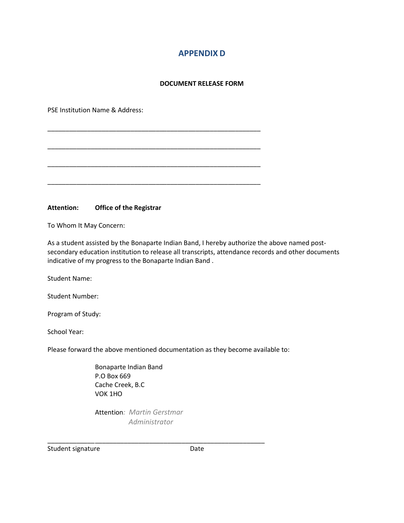### **APPENDIX D**

#### **DOCUMENT RELEASE FORM**

\_\_\_\_\_\_\_\_\_\_\_\_\_\_\_\_\_\_\_\_\_\_\_\_\_\_\_\_\_\_\_\_\_\_\_\_\_\_\_\_\_\_\_\_\_\_\_\_\_\_\_\_\_\_\_\_\_\_\_

\_\_\_\_\_\_\_\_\_\_\_\_\_\_\_\_\_\_\_\_\_\_\_\_\_\_\_\_\_\_\_\_\_\_\_\_\_\_\_\_\_\_\_\_\_\_\_\_\_\_\_\_\_\_\_\_\_\_\_

\_\_\_\_\_\_\_\_\_\_\_\_\_\_\_\_\_\_\_\_\_\_\_\_\_\_\_\_\_\_\_\_\_\_\_\_\_\_\_\_\_\_\_\_\_\_\_\_\_\_\_\_\_\_\_\_\_\_\_

\_\_\_\_\_\_\_\_\_\_\_\_\_\_\_\_\_\_\_\_\_\_\_\_\_\_\_\_\_\_\_\_\_\_\_\_\_\_\_\_\_\_\_\_\_\_\_\_\_\_\_\_\_\_\_\_\_\_\_

PSE Institution Name & Address:

**Attention: Office of the Registrar**

To Whom It May Concern:

As a student assisted by the Bonaparte Indian Band, I hereby authorize the above named postsecondary education institution to release all transcripts, attendance records and other documents indicative of my progress to the Bonaparte Indian Band .

Student Name:

Student Number:

Program of Study:

School Year:

Please forward the above mentioned documentation as they become available to:

Bonaparte Indian Band P.O Box 669 Cache Creek, B.C VOK 1HO

Attention*: Martin Gerstmar Administrator*

\_\_\_\_\_\_\_\_\_\_\_\_\_\_\_\_\_\_\_\_\_\_\_\_\_\_\_\_\_\_\_\_\_\_\_\_\_\_\_\_\_\_\_\_\_\_\_\_\_\_\_\_\_\_\_\_\_\_\_\_

Student signature Date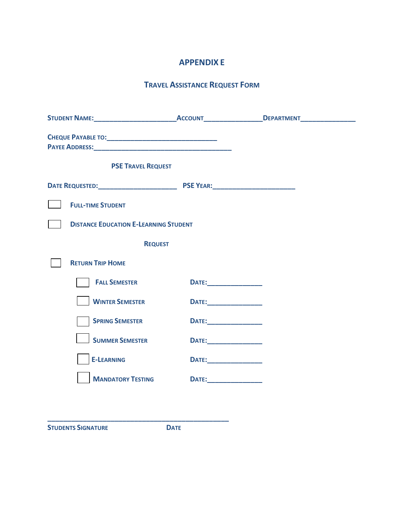### **APPENDIX E**

### **TRAVEL ASSISTANCE REQUEST FORM**

| <b>PSE TRAVEL REQUEST</b>                    |                                       |  |
|----------------------------------------------|---------------------------------------|--|
|                                              |                                       |  |
| <b>FULL-TIME STUDENT</b>                     |                                       |  |
| <b>DISTANCE EDUCATION E-LEARNING STUDENT</b> |                                       |  |
| <b>REQUEST</b>                               |                                       |  |
| <b>RETURN TRIP HOME</b>                      |                                       |  |
| <b>FALL SEMESTER</b>                         | <b>DATE:</b>                          |  |
| <b>WINTER SEMESTER</b>                       |                                       |  |
| <b>SPRING SEMESTER</b>                       | <b>DATE:</b>                          |  |
| <b>SUMMER SEMESTER</b>                       | <b>DATE:_________________________</b> |  |
| <b>E-LEARNING</b>                            | <b>DATE:___________________</b>       |  |
| <b>MANDATORY TESTING</b>                     |                                       |  |
|                                              |                                       |  |

**STUDENTS SIGNATURE DATE**

**\_\_\_\_\_\_\_\_\_\_\_\_\_\_\_\_\_\_\_\_\_\_\_\_\_\_\_\_\_\_\_\_\_\_\_\_\_\_\_\_\_\_\_\_\_\_**